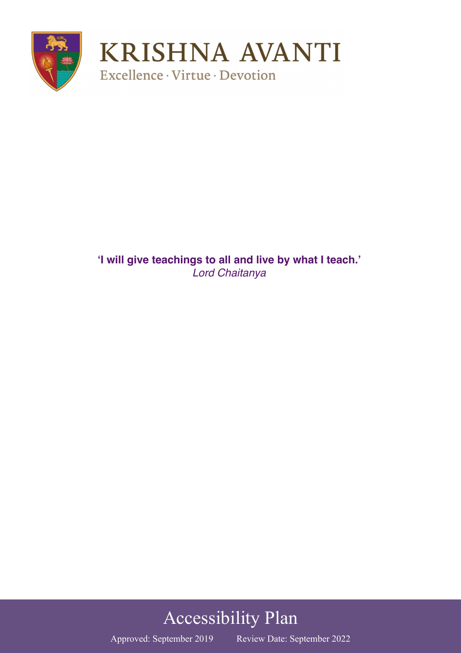

**'I will give teachings to all and live by what I teach.'** *Lord Chaitanya* 

# Accessibility Plan

Approved: September 2019 Review Date: September 2022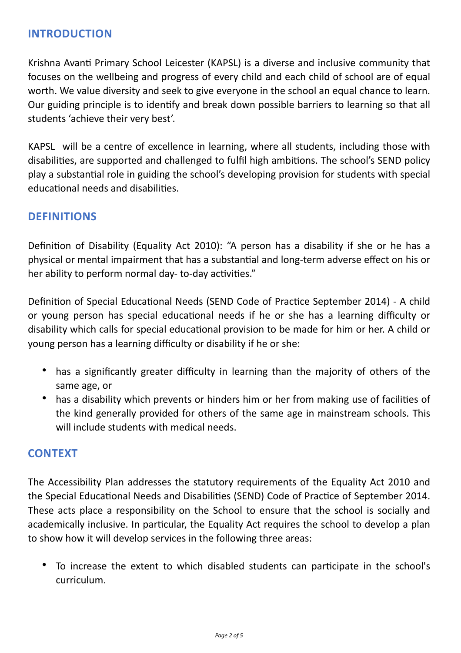### **INTRODUCTION**

Krishna Avanti Primary School Leicester (KAPSL) is a diverse and inclusive community that focuses on the wellbeing and progress of every child and each child of school are of equal worth. We value diversity and seek to give everyone in the school an equal chance to learn. Our guiding principle is to identify and break down possible barriers to learning so that all students 'achieve their very best'.

KAPSL will be a centre of excellence in learning, where all students, including those with disabilities, are supported and challenged to fulfil high ambitions. The school's SEND policy play a substantial role in guiding the school's developing provision for students with special educational needs and disabilities.

#### **DEFINITIONS**

Definition of Disability (Equality Act 2010): "A person has a disability if she or he has a physical or mental impairment that has a substantial and long-term adverse effect on his or her ability to perform normal day- to-day activities."

Definition of Special Educational Needs (SEND Code of Practice September 2014) - A child or young person has special educational needs if he or she has a learning difficulty or disability which calls for special educational provision to be made for him or her. A child or young person has a learning difficulty or disability if he or she:

- has a significantly greater difficulty in learning than the majority of others of the same age, or
- has a disability which prevents or hinders him or her from making use of facilities of the kind generally provided for others of the same age in mainstream schools. This will include students with medical needs.

#### **CONTEXT**

The Accessibility Plan addresses the statutory requirements of the Equality Act 2010 and the Special Educational Needs and Disabilities (SEND) Code of Practice of September 2014. These acts place a responsibility on the School to ensure that the school is socially and academically inclusive. In particular, the Equality Act requires the school to develop a plan to show how it will develop services in the following three areas:

• To increase the extent to which disabled students can participate in the school's curriculum.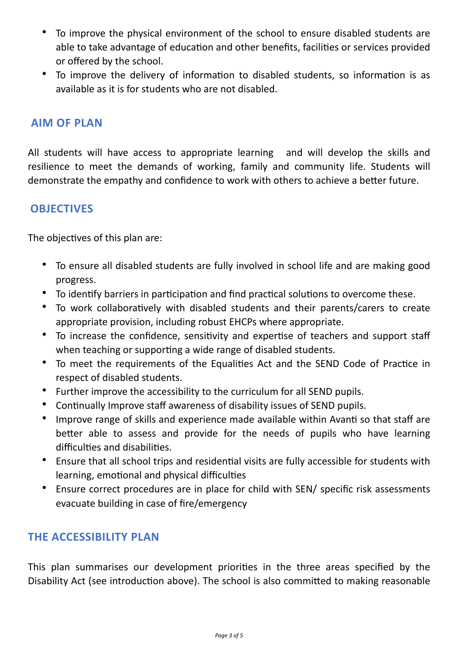- To improve the physical environment of the school to ensure disabled students are able to take advantage of education and other benefits, facilities or services provided or offered by the school.
- To improve the delivery of information to disabled students, so information is as available as it is for students who are not disabled.

#### **AIM OF PLAN**

All students will have access to appropriate learning and will develop the skills and resilience to meet the demands of working, family and community life. Students will demonstrate the empathy and confidence to work with others to achieve a better future.

#### **OBJECTIVES**

The objectives of this plan are:

- To ensure all disabled students are fully involved in school life and are making good progress.
- To identify barriers in participation and find practical solutions to overcome these.
- To work collaboratively with disabled students and their parents/carers to create appropriate provision, including robust EHCPs where appropriate.
- To increase the confidence, sensitivity and expertise of teachers and support staff when teaching or supporting a wide range of disabled students.
- To meet the requirements of the Equalities Act and the SEND Code of Practice in respect of disabled students.
- Further improve the accessibility to the curriculum for all SEND pupils.
- Continually Improve staff awareness of disability issues of SEND pupils.
- Improve range of skills and experience made available within Avanti so that staff are better able to assess and provide for the needs of pupils who have learning difficulties and disabilities.
- Ensure that all school trips and residential visits are fully accessible for students with learning, emotional and physical difficulties
- Ensure correct procedures are in place for child with SEN/ specific risk assessments evacuate building in case of fire/emergency

#### **THE ACCESSIBILITY PLAN**

This plan summarises our development priorities in the three areas specified by the Disability Act (see introduction above). The school is also committed to making reasonable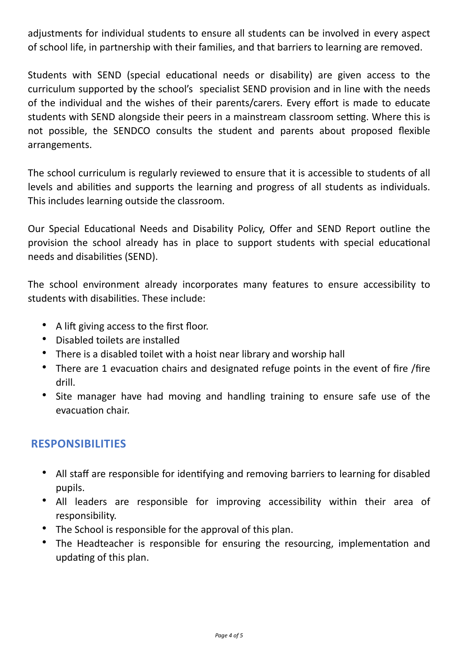adjustments for individual students to ensure all students can be involved in every aspect of school life, in partnership with their families, and that barriers to learning are removed.

Students with SEND (special educational needs or disability) are given access to the curriculum supported by the school's specialist SEND provision and in line with the needs of the individual and the wishes of their parents/carers. Every effort is made to educate students with SEND alongside their peers in a mainstream classroom setting. Where this is not possible, the SENDCO consults the student and parents about proposed flexible arrangements.

The school curriculum is regularly reviewed to ensure that it is accessible to students of all levels and abilities and supports the learning and progress of all students as individuals. This includes learning outside the classroom.

Our Special Educational Needs and Disability Policy, Offer and SEND Report outline the provision the school already has in place to support students with special educational needs and disabilities (SEND).

The school environment already incorporates many features to ensure accessibility to students with disabilities. These include:

- A lift giving access to the first floor.
- Disabled toilets are installed
- There is a disabled toilet with a hoist near library and worship hall
- There are 1 evacuation chairs and designated refuge points in the event of fire /fire drill.
- Site manager have had moving and handling training to ensure safe use of the evacuation chair.

## **RESPONSIBILITIES**

- All staff are responsible for identifying and removing barriers to learning for disabled pupils.
- All leaders are responsible for improving accessibility within their area of responsibility.
- The School is responsible for the approval of this plan.
- The Headteacher is responsible for ensuring the resourcing, implementation and updating of this plan.